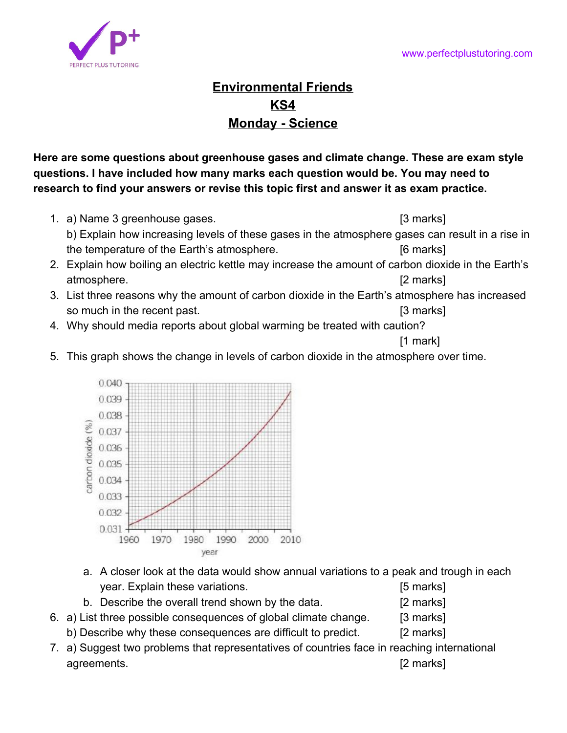

## **Environmental Friends KS4 Monday - Science**

**Here are some questions about greenhouse gases and climate change. These are exam style questions. I have included how many marks each question would be. You may need to research to find your answers or revise this topic first and answer it as exam practice.**

- 1. a) Name 3 greenhouse gases. [3 marks] b) Explain how increasing levels of these gases in the atmosphere gases can result in a rise in the temperature of the Earth's atmosphere. The state of the state of the Earth's atmosphere.
- 2. Explain how boiling an electric kettle may increase the amount of carbon dioxide in the Earth's atmosphere. [2 marks]
- 3. List three reasons why the amount of carbon dioxide in the Earth's atmosphere has increased so much in the recent past. **[3 marks]**
- 4. Why should media reports about global warming be treated with caution?

[1 mark]

5. This graph shows the change in levels of carbon dioxide in the atmosphere over time.



- a. A closer look at the data would show annual variations to a peak and trough in each year. Explain these variations. The same state of the set of the set of the set of the set of the set of the set of the set of the set of the set of the set of the set of the set of the set of the set of the set of the set
- b. Describe the overall trend shown by the data. [2 marks]
- 6. a) List three possible consequences of global climate change. [3 marks]
	- b) Describe why these consequences are difficult to predict. [2 marks]
- 7. a) Suggest two problems that representatives of countries face in reaching international agreements. [2 marks]